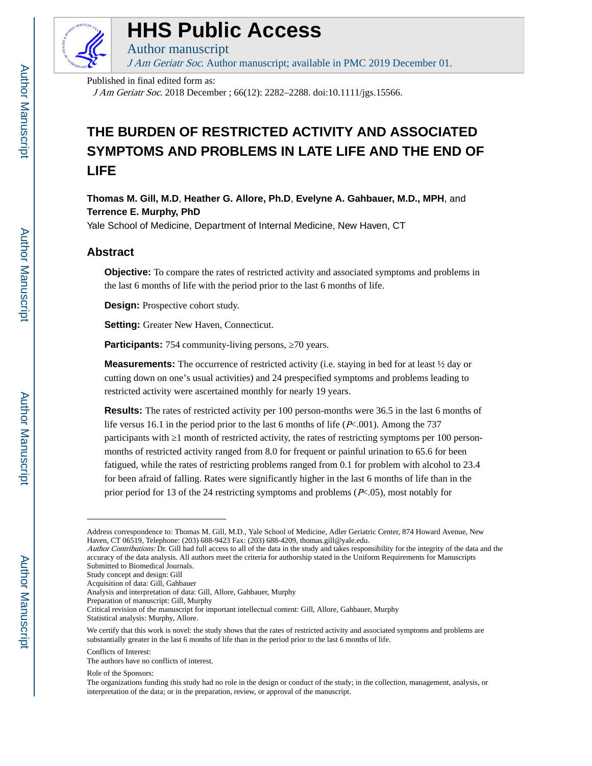

# **HHS Public Access**

Author manuscript

J Am Geriatr Soc. Author manuscript; available in PMC 2019 December 01.

Published in final edited form as:

J Am Geriatr Soc. 2018 December ; 66(12): 2282–2288. doi:10.1111/jgs.15566.

## **THE BURDEN OF RESTRICTED ACTIVITY AND ASSOCIATED SYMPTOMS AND PROBLEMS IN LATE LIFE AND THE END OF LIFE**

**Thomas M. Gill, M.D**, **Heather G. Allore, Ph.D**, **Evelyne A. Gahbauer, M.D., MPH**, and **Terrence E. Murphy, PhD**

Yale School of Medicine, Department of Internal Medicine, New Haven, CT

### **Abstract**

**Objective:** To compare the rates of restricted activity and associated symptoms and problems in the last 6 months of life with the period prior to the last 6 months of life.

**Design:** Prospective cohort study.

**Setting:** Greater New Haven, Connecticut.

**Participants:** 754 community-living persons, 70 years.

**Measurements:** The occurrence of restricted activity (i.e. staying in bed for at least ½ day or cutting down on one's usual activities) and 24 prespecified symptoms and problems leading to restricted activity were ascertained monthly for nearly 19 years.

**Results:** The rates of restricted activity per 100 person-months were 36.5 in the last 6 months of life versus 16.1 in the period prior to the last 6 months of life (P<.001). Among the 737 participants with 1 month of restricted activity, the rates of restricting symptoms per 100 personmonths of restricted activity ranged from 8.0 for frequent or painful urination to 65.6 for been fatigued, while the rates of restricting problems ranged from 0.1 for problem with alcohol to 23.4 for been afraid of falling. Rates were significantly higher in the last 6 months of life than in the prior period for 13 of the 24 restricting symptoms and problems  $(P<.05)$ , most notably for

The authors have no conflicts of interest.

Address correspondence to: Thomas M. Gill, M.D., Yale School of Medicine, Adler Geriatric Center, 874 Howard Avenue, New Haven, CT 06519, Telephone: (203) 688-9423 Fax: (203) 688-4209, thomas.gill@yale.edu.

Author Contributions: Dr. Gill had full access to all of the data in the study and takes responsibility for the integrity of the data and the accuracy of the data analysis. All authors meet the criteria for authorship stated in the Uniform Requirements for Manuscripts Submitted to Biomedical Journals.

Study concept and design: Gill

Acquisition of data: Gill, Gahbauer

Analysis and interpretation of data: Gill, Allore, Gahbauer, Murphy

Preparation of manuscript: Gill, Murphy

Critical revision of the manuscript for important intellectual content: Gill, Allore, Gahbauer, Murphy Statistical analysis: Murphy, Allore.

We certify that this work is novel: the study shows that the rates of restricted activity and associated symptoms and problems are substantially greater in the last 6 months of life than in the period prior to the last 6 months of life.

Conflicts of Interest:

Role of the Sponsors:

The organizations funding this study had no role in the design or conduct of the study; in the collection, management, analysis, or interpretation of the data; or in the preparation, review, or approval of the manuscript.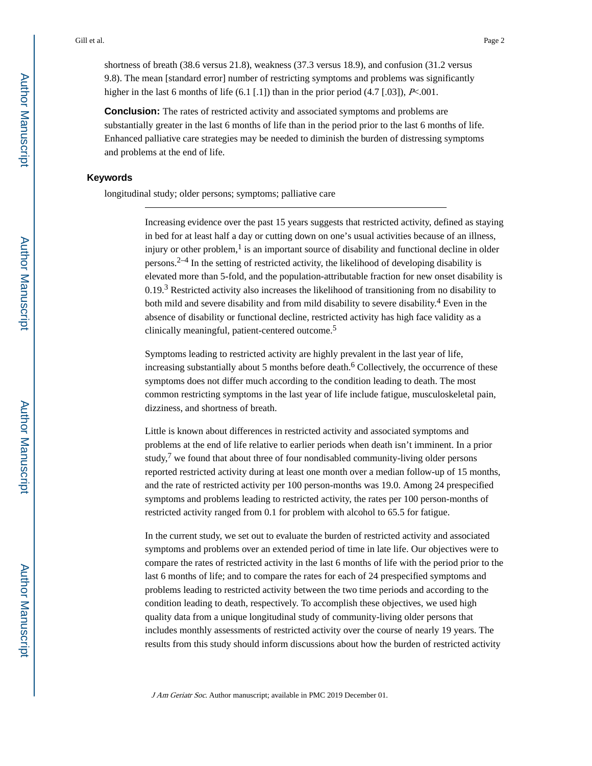shortness of breath (38.6 versus 21.8), weakness (37.3 versus 18.9), and confusion (31.2 versus 9.8). The mean [standard error] number of restricting symptoms and problems was significantly higher in the last 6 months of life  $(6.1 \, 1.1)$  than in the prior period  $(4.7 \, 1.03)$ , P<.001.

**Conclusion:** The rates of restricted activity and associated symptoms and problems are substantially greater in the last 6 months of life than in the period prior to the last 6 months of life. Enhanced palliative care strategies may be needed to diminish the burden of distressing symptoms and problems at the end of life.

#### **Keywords**

longitudinal study; older persons; symptoms; palliative care

Increasing evidence over the past 15 years suggests that restricted activity, defined as staying in bed for at least half a day or cutting down on one's usual activities because of an illness, injury or other problem, $<sup>1</sup>$  is an important source of disability and functional decline in older</sup> persons. $2-4$  In the setting of restricted activity, the likelihood of developing disability is elevated more than 5-fold, and the population-attributable fraction for new onset disability is 0.19.<sup>3</sup> Restricted activity also increases the likelihood of transitioning from no disability to both mild and severe disability and from mild disability to severe disability.<sup>4</sup> Even in the absence of disability or functional decline, restricted activity has high face validity as a clinically meaningful, patient-centered outcome.<sup>5</sup>

Symptoms leading to restricted activity are highly prevalent in the last year of life, increasing substantially about 5 months before death.<sup>6</sup> Collectively, the occurrence of these symptoms does not differ much according to the condition leading to death. The most common restricting symptoms in the last year of life include fatigue, musculoskeletal pain, dizziness, and shortness of breath.

Little is known about differences in restricted activity and associated symptoms and problems at the end of life relative to earlier periods when death isn't imminent. In a prior study, $7$  we found that about three of four nondisabled community-living older persons reported restricted activity during at least one month over a median follow-up of 15 months, and the rate of restricted activity per 100 person-months was 19.0. Among 24 prespecified symptoms and problems leading to restricted activity, the rates per 100 person-months of restricted activity ranged from 0.1 for problem with alcohol to 65.5 for fatigue.

In the current study, we set out to evaluate the burden of restricted activity and associated symptoms and problems over an extended period of time in late life. Our objectives were to compare the rates of restricted activity in the last 6 months of life with the period prior to the last 6 months of life; and to compare the rates for each of 24 prespecified symptoms and problems leading to restricted activity between the two time periods and according to the condition leading to death, respectively. To accomplish these objectives, we used high quality data from a unique longitudinal study of community-living older persons that includes monthly assessments of restricted activity over the course of nearly 19 years. The results from this study should inform discussions about how the burden of restricted activity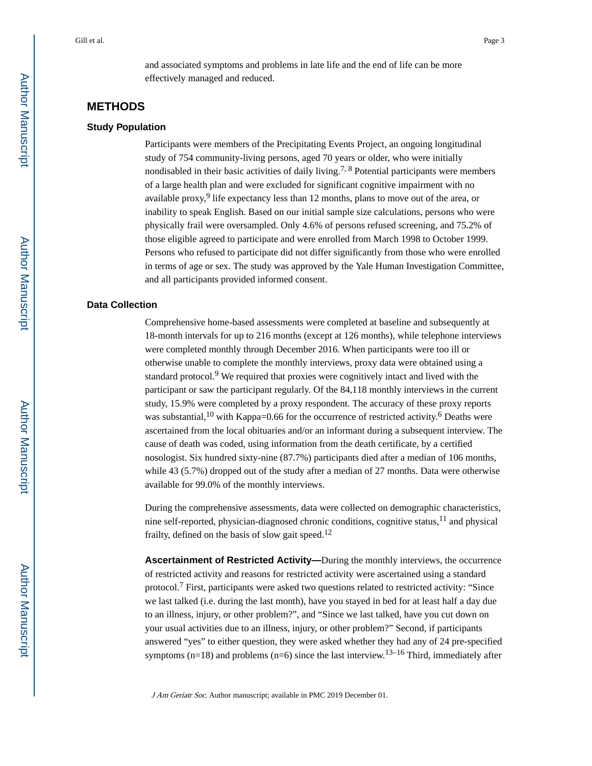and associated symptoms and problems in late life and the end of life can be more effectively managed and reduced.

#### **METHODS**

#### **Study Population**

Participants were members of the Precipitating Events Project, an ongoing longitudinal study of 754 community-living persons, aged 70 years or older, who were initially nondisabled in their basic activities of daily living.<sup>7, 8</sup> Potential participants were members of a large health plan and were excluded for significant cognitive impairment with no available proxy,<sup>9</sup> life expectancy less than 12 months, plans to move out of the area, or inability to speak English. Based on our initial sample size calculations, persons who were physically frail were oversampled. Only 4.6% of persons refused screening, and 75.2% of those eligible agreed to participate and were enrolled from March 1998 to October 1999. Persons who refused to participate did not differ significantly from those who were enrolled in terms of age or sex. The study was approved by the Yale Human Investigation Committee, and all participants provided informed consent.

#### **Data Collection**

Comprehensive home-based assessments were completed at baseline and subsequently at 18-month intervals for up to 216 months (except at 126 months), while telephone interviews were completed monthly through December 2016. When participants were too ill or otherwise unable to complete the monthly interviews, proxy data were obtained using a standard protocol.<sup>9</sup> We required that proxies were cognitively intact and lived with the participant or saw the participant regularly. Of the 84,118 monthly interviews in the current study, 15.9% were completed by a proxy respondent. The accuracy of these proxy reports was substantial,  $10$  with Kappa=0.66 for the occurrence of restricted activity.<sup>6</sup> Deaths were ascertained from the local obituaries and/or an informant during a subsequent interview. The cause of death was coded, using information from the death certificate, by a certified nosologist. Six hundred sixty-nine (87.7%) participants died after a median of 106 months, while 43 (5.7%) dropped out of the study after a median of 27 months. Data were otherwise available for 99.0% of the monthly interviews.

During the comprehensive assessments, data were collected on demographic characteristics, nine self-reported, physician-diagnosed chronic conditions, cognitive status, $11$  and physical frailty, defined on the basis of slow gait speed.<sup>12</sup>

**Ascertainment of Restricted Activity—**During the monthly interviews, the occurrence of restricted activity and reasons for restricted activity were ascertained using a standard protocol.<sup>7</sup> First, participants were asked two questions related to restricted activity: "Since we last talked (i.e. during the last month), have you stayed in bed for at least half a day due to an illness, injury, or other problem?", and "Since we last talked, have you cut down on your usual activities due to an illness, injury, or other problem?" Second, if participants answered "yes" to either question, they were asked whether they had any of 24 pre-specified symptoms ( $n=18$ ) and problems ( $n=6$ ) since the last interview.<sup>13–16</sup> Third, immediately after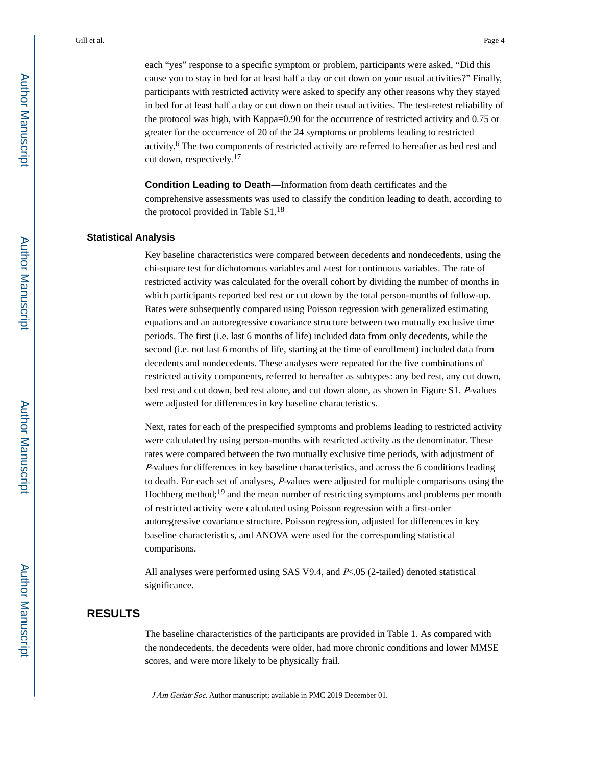each "yes" response to a specific symptom or problem, participants were asked, "Did this cause you to stay in bed for at least half a day or cut down on your usual activities?" Finally, participants with restricted activity were asked to specify any other reasons why they stayed in bed for at least half a day or cut down on their usual activities. The test-retest reliability of the protocol was high, with Kappa=0.90 for the occurrence of restricted activity and 0.75 or greater for the occurrence of 20 of the 24 symptoms or problems leading to restricted activity.<sup>6</sup> The two components of restricted activity are referred to hereafter as bed rest and cut down, respectively.<sup>17</sup>

**Condition Leading to Death—**Information from death certificates and the comprehensive assessments was used to classify the condition leading to death, according to the protocol provided in Table  $S1<sup>18</sup>$ 

#### **Statistical Analysis**

Key baseline characteristics were compared between decedents and nondecedents, using the chi-square test for dichotomous variables and t-test for continuous variables. The rate of restricted activity was calculated for the overall cohort by dividing the number of months in which participants reported bed rest or cut down by the total person-months of follow-up. Rates were subsequently compared using Poisson regression with generalized estimating equations and an autoregressive covariance structure between two mutually exclusive time periods. The first (i.e. last 6 months of life) included data from only decedents, while the second (i.e. not last 6 months of life, starting at the time of enrollment) included data from decedents and nondecedents. These analyses were repeated for the five combinations of restricted activity components, referred to hereafter as subtypes: any bed rest, any cut down, bed rest and cut down, bed rest alone, and cut down alone, as shown in Figure S1. P-values were adjusted for differences in key baseline characteristics.

Next, rates for each of the prespecified symptoms and problems leading to restricted activity were calculated by using person-months with restricted activity as the denominator. These rates were compared between the two mutually exclusive time periods, with adjustment of <sup>P</sup>-values for differences in key baseline characteristics, and across the 6 conditions leading to death. For each set of analyses, P-values were adjusted for multiple comparisons using the Hochberg method;<sup>19</sup> and the mean number of restricting symptoms and problems per month of restricted activity were calculated using Poisson regression with a first-order autoregressive covariance structure. Poisson regression, adjusted for differences in key baseline characteristics, and ANOVA were used for the corresponding statistical comparisons.

All analyses were performed using SAS V9.4, and P<.05 (2-tailed) denoted statistical significance.

#### **RESULTS**

The baseline characteristics of the participants are provided in Table 1. As compared with the nondecedents, the decedents were older, had more chronic conditions and lower MMSE scores, and were more likely to be physically frail.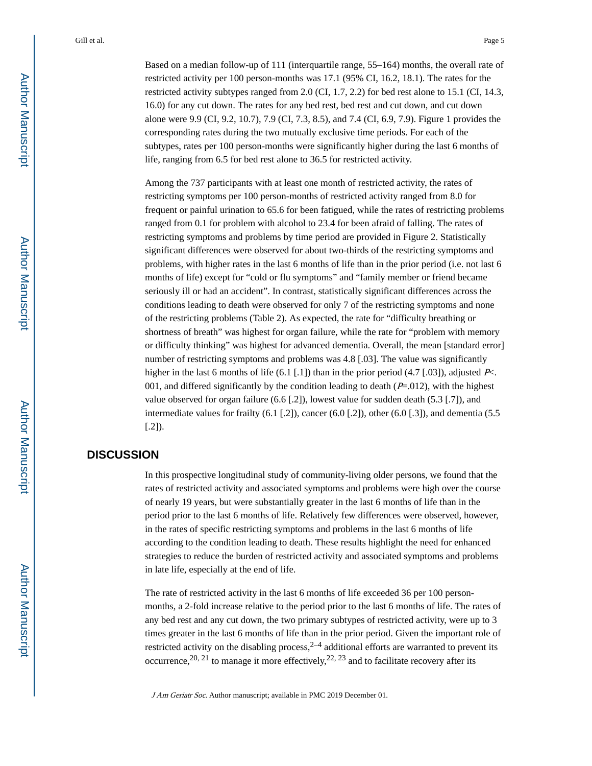Based on a median follow-up of 111 (interquartile range, 55–164) months, the overall rate of restricted activity per 100 person-months was 17.1 (95% CI, 16.2, 18.1). The rates for the restricted activity subtypes ranged from 2.0 (CI, 1.7, 2.2) for bed rest alone to 15.1 (CI, 14.3, 16.0) for any cut down. The rates for any bed rest, bed rest and cut down, and cut down alone were 9.9 (CI, 9.2, 10.7), 7.9 (CI, 7.3, 8.5), and 7.4 (CI, 6.9, 7.9). Figure 1 provides the corresponding rates during the two mutually exclusive time periods. For each of the subtypes, rates per 100 person-months were significantly higher during the last 6 months of life, ranging from 6.5 for bed rest alone to 36.5 for restricted activity.

Among the 737 participants with at least one month of restricted activity, the rates of restricting symptoms per 100 person-months of restricted activity ranged from 8.0 for frequent or painful urination to 65.6 for been fatigued, while the rates of restricting problems ranged from 0.1 for problem with alcohol to 23.4 for been afraid of falling. The rates of restricting symptoms and problems by time period are provided in Figure 2. Statistically significant differences were observed for about two-thirds of the restricting symptoms and problems, with higher rates in the last 6 months of life than in the prior period (i.e. not last 6 months of life) except for "cold or flu symptoms" and "family member or friend became seriously ill or had an accident". In contrast, statistically significant differences across the conditions leading to death were observed for only 7 of the restricting symptoms and none of the restricting problems (Table 2). As expected, the rate for "difficulty breathing or shortness of breath" was highest for organ failure, while the rate for "problem with memory or difficulty thinking" was highest for advanced dementia. Overall, the mean [standard error] number of restricting symptoms and problems was 4.8 [.03]. The value was significantly higher in the last 6 months of life (6.1 [.1]) than in the prior period (4.7 [.03]), adjusted P<. 001, and differed significantly by the condition leading to death  $(P=012)$ , with the highest value observed for organ failure (6.6 [.2]), lowest value for sudden death (5.3 [.7]), and intermediate values for frailty (6.1 [.2]), cancer (6.0 [.2]), other (6.0 [.3]), and dementia (5.5  $[.2]$ ).

#### **DISCUSSION**

In this prospective longitudinal study of community-living older persons, we found that the rates of restricted activity and associated symptoms and problems were high over the course of nearly 19 years, but were substantially greater in the last 6 months of life than in the period prior to the last 6 months of life. Relatively few differences were observed, however, in the rates of specific restricting symptoms and problems in the last 6 months of life according to the condition leading to death. These results highlight the need for enhanced strategies to reduce the burden of restricted activity and associated symptoms and problems in late life, especially at the end of life.

The rate of restricted activity in the last 6 months of life exceeded 36 per 100 personmonths, a 2-fold increase relative to the period prior to the last 6 months of life. The rates of any bed rest and any cut down, the two primary subtypes of restricted activity, were up to 3 times greater in the last 6 months of life than in the prior period. Given the important role of restricted activity on the disabling process,  $2-4$  additional efforts are warranted to prevent its occurrence,  $20$ ,  $21$  to manage it more effectively,  $22$ ,  $23$  and to facilitate recovery after its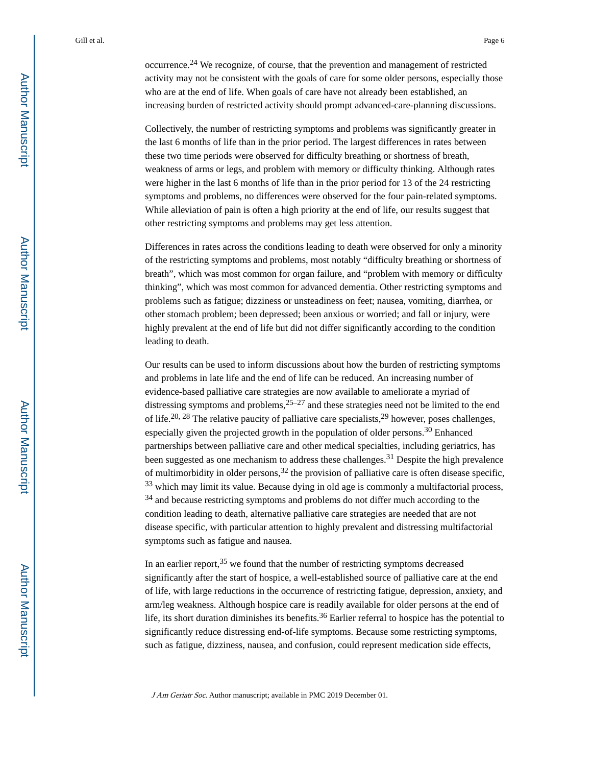occurrence.24 We recognize, of course, that the prevention and management of restricted activity may not be consistent with the goals of care for some older persons, especially those who are at the end of life. When goals of care have not already been established, an increasing burden of restricted activity should prompt advanced-care-planning discussions.

Collectively, the number of restricting symptoms and problems was significantly greater in the last 6 months of life than in the prior period. The largest differences in rates between these two time periods were observed for difficulty breathing or shortness of breath, weakness of arms or legs, and problem with memory or difficulty thinking. Although rates were higher in the last 6 months of life than in the prior period for 13 of the 24 restricting symptoms and problems, no differences were observed for the four pain-related symptoms. While alleviation of pain is often a high priority at the end of life, our results suggest that other restricting symptoms and problems may get less attention.

Differences in rates across the conditions leading to death were observed for only a minority of the restricting symptoms and problems, most notably "difficulty breathing or shortness of breath", which was most common for organ failure, and "problem with memory or difficulty thinking", which was most common for advanced dementia. Other restricting symptoms and problems such as fatigue; dizziness or unsteadiness on feet; nausea, vomiting, diarrhea, or other stomach problem; been depressed; been anxious or worried; and fall or injury, were highly prevalent at the end of life but did not differ significantly according to the condition leading to death.

Our results can be used to inform discussions about how the burden of restricting symptoms and problems in late life and the end of life can be reduced. An increasing number of evidence-based palliative care strategies are now available to ameliorate a myriad of distressing symptoms and problems,  $25-27$  and these strategies need not be limited to the end of life.<sup>20, 28</sup> The relative paucity of palliative care specialists,<sup>29</sup> however, poses challenges, especially given the projected growth in the population of older persons.30 Enhanced partnerships between palliative care and other medical specialties, including geriatrics, has been suggested as one mechanism to address these challenges.<sup>31</sup> Despite the high prevalence of multimorbidity in older persons,  $32$  the provision of palliative care is often disease specific, <sup>33</sup> which may limit its value. Because dying in old age is commonly a multifactorial process, <sup>34</sup> and because restricting symptoms and problems do not differ much according to the condition leading to death, alternative palliative care strategies are needed that are not disease specific, with particular attention to highly prevalent and distressing multifactorial symptoms such as fatigue and nausea.

In an earlier report,  $35$  we found that the number of restricting symptoms decreased significantly after the start of hospice, a well-established source of palliative care at the end of life, with large reductions in the occurrence of restricting fatigue, depression, anxiety, and arm/leg weakness. Although hospice care is readily available for older persons at the end of life, its short duration diminishes its benefits.<sup>36</sup> Earlier referral to hospice has the potential to significantly reduce distressing end-of-life symptoms. Because some restricting symptoms, such as fatigue, dizziness, nausea, and confusion, could represent medication side effects,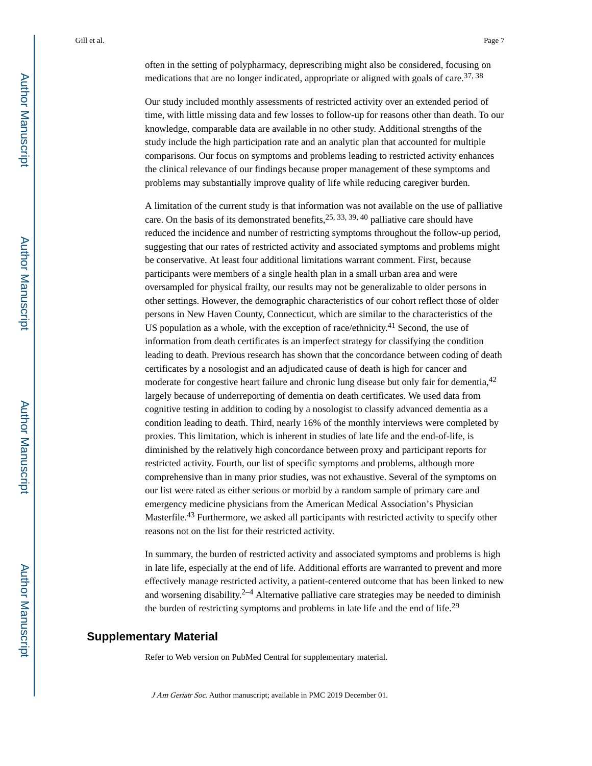often in the setting of polypharmacy, deprescribing might also be considered, focusing on medications that are no longer indicated, appropriate or aligned with goals of care.<sup>37, 38</sup>

Our study included monthly assessments of restricted activity over an extended period of time, with little missing data and few losses to follow-up for reasons other than death. To our knowledge, comparable data are available in no other study. Additional strengths of the study include the high participation rate and an analytic plan that accounted for multiple comparisons. Our focus on symptoms and problems leading to restricted activity enhances the clinical relevance of our findings because proper management of these symptoms and problems may substantially improve quality of life while reducing caregiver burden.

A limitation of the current study is that information was not available on the use of palliative care. On the basis of its demonstrated benefits,  $25, 33, 39, 40$  palliative care should have reduced the incidence and number of restricting symptoms throughout the follow-up period, suggesting that our rates of restricted activity and associated symptoms and problems might be conservative. At least four additional limitations warrant comment. First, because participants were members of a single health plan in a small urban area and were oversampled for physical frailty, our results may not be generalizable to older persons in other settings. However, the demographic characteristics of our cohort reflect those of older persons in New Haven County, Connecticut, which are similar to the characteristics of the US population as a whole, with the exception of race/ethnicity.<sup>41</sup> Second, the use of information from death certificates is an imperfect strategy for classifying the condition leading to death. Previous research has shown that the concordance between coding of death certificates by a nosologist and an adjudicated cause of death is high for cancer and moderate for congestive heart failure and chronic lung disease but only fair for dementia, <sup>42</sup> largely because of underreporting of dementia on death certificates. We used data from cognitive testing in addition to coding by a nosologist to classify advanced dementia as a condition leading to death. Third, nearly 16% of the monthly interviews were completed by proxies. This limitation, which is inherent in studies of late life and the end-of-life, is diminished by the relatively high concordance between proxy and participant reports for restricted activity. Fourth, our list of specific symptoms and problems, although more comprehensive than in many prior studies, was not exhaustive. Several of the symptoms on our list were rated as either serious or morbid by a random sample of primary care and emergency medicine physicians from the American Medical Association's Physician Masterfile.<sup>43</sup> Furthermore, we asked all participants with restricted activity to specify other reasons not on the list for their restricted activity.

In summary, the burden of restricted activity and associated symptoms and problems is high in late life, especially at the end of life. Additional efforts are warranted to prevent and more effectively manage restricted activity, a patient-centered outcome that has been linked to new and worsening disability. $2-4$  Alternative palliative care strategies may be needed to diminish the burden of restricting symptoms and problems in late life and the end of life.<sup>29</sup>

#### **Supplementary Material**

Refer to Web version on PubMed Central for supplementary material.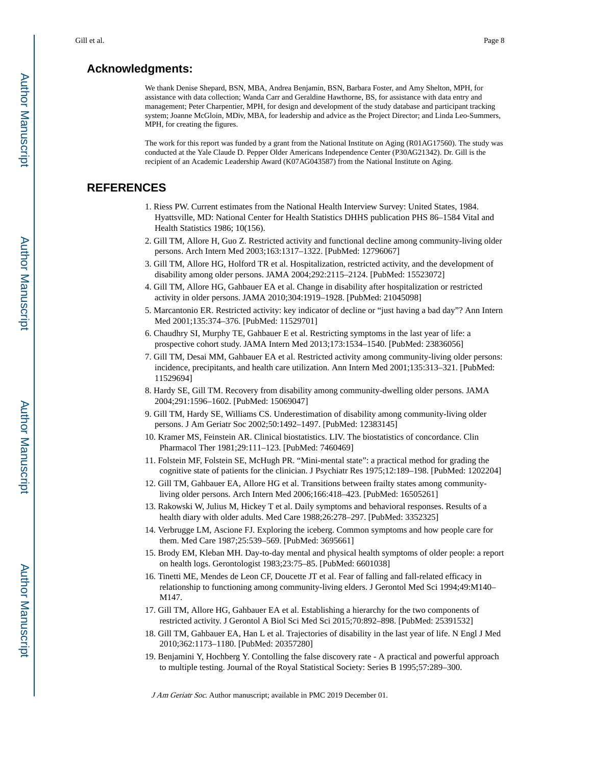#### **Acknowledgments:**

We thank Denise Shepard, BSN, MBA, Andrea Benjamin, BSN, Barbara Foster, and Amy Shelton, MPH, for assistance with data collection; Wanda Carr and Geraldine Hawthorne, BS, for assistance with data entry and management; Peter Charpentier, MPH, for design and development of the study database and participant tracking system; Joanne McGloin, MDiv, MBA, for leadership and advice as the Project Director; and Linda Leo-Summers, MPH, for creating the figures.

The work for this report was funded by a grant from the National Institute on Aging (R01AG17560). The study was conducted at the Yale Claude D. Pepper Older Americans Independence Center (P30AG21342). Dr. Gill is the recipient of an Academic Leadership Award (K07AG043587) from the National Institute on Aging.

#### **REFERENCES**

- 1. Riess PW. Current estimates from the National Health Interview Survey: United States, 1984. Hyattsville, MD: National Center for Health Statistics DHHS publication PHS 86–1584 Vital and Health Statistics 1986; 10(156).
- 2. Gill TM, Allore H, Guo Z. Restricted activity and functional decline among community-living older persons. Arch Intern Med 2003;163:1317–1322. [PubMed: 12796067]
- 3. Gill TM, Allore HG, Holford TR et al. Hospitalization, restricted activity, and the development of disability among older persons. JAMA 2004;292:2115–2124. [PubMed: 15523072]
- 4. Gill TM, Allore HG, Gahbauer EA et al. Change in disability after hospitalization or restricted activity in older persons. JAMA 2010;304:1919–1928. [PubMed: 21045098]
- 5. Marcantonio ER. Restricted activity: key indicator of decline or "just having a bad day"? Ann Intern Med 2001;135:374–376. [PubMed: 11529701]
- 6. Chaudhry SI, Murphy TE, Gahbauer E et al. Restricting symptoms in the last year of life: a prospective cohort study. JAMA Intern Med 2013;173:1534–1540. [PubMed: 23836056]
- 7. Gill TM, Desai MM, Gahbauer EA et al. Restricted activity among community-living older persons: incidence, precipitants, and health care utilization. Ann Intern Med 2001;135:313–321. [PubMed: 11529694]
- 8. Hardy SE, Gill TM. Recovery from disability among community-dwelling older persons. JAMA 2004;291:1596–1602. [PubMed: 15069047]
- 9. Gill TM, Hardy SE, Williams CS. Underestimation of disability among community-living older persons. J Am Geriatr Soc 2002;50:1492–1497. [PubMed: 12383145]
- 10. Kramer MS, Feinstein AR. Clinical biostatistics. LIV. The biostatistics of concordance. Clin Pharmacol Ther 1981;29:111–123. [PubMed: 7460469]
- 11. Folstein MF, Folstein SE, McHugh PR. "Mini-mental state": a practical method for grading the cognitive state of patients for the clinician. J Psychiatr Res 1975;12:189–198. [PubMed: 1202204]
- 12. Gill TM, Gahbauer EA, Allore HG et al. Transitions between frailty states among communityliving older persons. Arch Intern Med 2006;166:418–423. [PubMed: 16505261]
- 13. Rakowski W, Julius M, Hickey T et al. Daily symptoms and behavioral responses. Results of a health diary with older adults. Med Care 1988;26:278–297. [PubMed: 3352325]
- 14. Verbrugge LM, Ascione FJ. Exploring the iceberg. Common symptoms and how people care for them. Med Care 1987;25:539–569. [PubMed: 3695661]
- 15. Brody EM, Kleban MH. Day-to-day mental and physical health symptoms of older people: a report on health logs. Gerontologist 1983;23:75–85. [PubMed: 6601038]
- 16. Tinetti ME, Mendes de Leon CF, Doucette JT et al. Fear of falling and fall-related efficacy in relationship to functioning among community-living elders. J Gerontol Med Sci 1994;49:M140– M147.
- 17. Gill TM, Allore HG, Gahbauer EA et al. Establishing a hierarchy for the two components of restricted activity. J Gerontol A Biol Sci Med Sci 2015;70:892–898. [PubMed: 25391532]
- 18. Gill TM, Gahbauer EA, Han L et al. Trajectories of disability in the last year of life. N Engl J Med 2010;362:1173–1180. [PubMed: 20357280]
- 19. Benjamini Y, Hochberg Y. Contolling the false discovery rate A practical and powerful approach to multiple testing. Journal of the Royal Statistical Society: Series B 1995;57:289–300.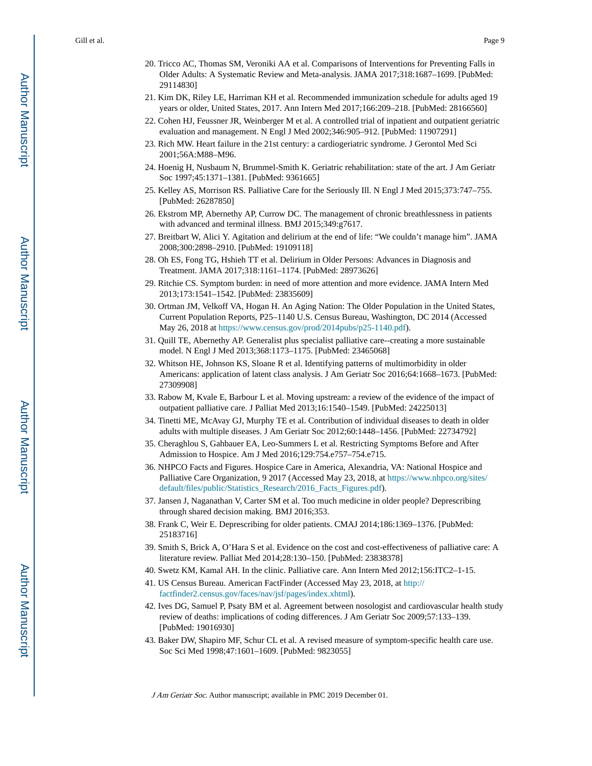- 20. Tricco AC, Thomas SM, Veroniki AA et al. Comparisons of Interventions for Preventing Falls in Older Adults: A Systematic Review and Meta-analysis. JAMA 2017;318:1687–1699. [PubMed: 29114830]
- 21. Kim DK, Riley LE, Harriman KH et al. Recommended immunization schedule for adults aged 19 years or older, United States, 2017. Ann Intern Med 2017;166:209–218. [PubMed: 28166560]
- 22. Cohen HJ, Feussner JR, Weinberger M et al. A controlled trial of inpatient and outpatient geriatric evaluation and management. N Engl J Med 2002;346:905–912. [PubMed: 11907291]
- 23. Rich MW. Heart failure in the 21st century: a cardiogeriatric syndrome. J Gerontol Med Sci 2001;56A:M88–M96.
- 24. Hoenig H, Nusbaum N, Brummel-Smith K. Geriatric rehabilitation: state of the art. J Am Geriatr Soc 1997;45:1371–1381. [PubMed: 9361665]
- 25. Kelley AS, Morrison RS. Palliative Care for the Seriously Ill. N Engl J Med 2015;373:747–755. [PubMed: 26287850]
- 26. Ekstrom MP, Abernethy AP, Currow DC. The management of chronic breathlessness in patients with advanced and terminal illness. BMJ 2015;349:g7617.
- 27. Breitbart W, Alici Y. Agitation and delirium at the end of life: "We couldn't manage him". JAMA 2008;300:2898–2910. [PubMed: 19109118]
- 28. Oh ES, Fong TG, Hshieh TT et al. Delirium in Older Persons: Advances in Diagnosis and Treatment. JAMA 2017;318:1161–1174. [PubMed: 28973626]
- 29. Ritchie CS. Symptom burden: in need of more attention and more evidence. JAMA Intern Med 2013;173:1541–1542. [PubMed: 23835609]
- 30. Ortman JM, Velkoff VA, Hogan H. An Aging Nation: The Older Population in the United States, Current Population Reports, P25–1140 U.S. Census Bureau, Washington, DC 2014 (Accessed May 26, 2018 at [https://www.census.gov/prod/2014pubs/p25-1140.pdf\)](https://www.census.gov/prod/2014pubs/p25-1140.pdf).
- 31. Quill TE, Abernethy AP. Generalist plus specialist palliative care--creating a more sustainable model. N Engl J Med 2013;368:1173–1175. [PubMed: 23465068]
- 32. Whitson HE, Johnson KS, Sloane R et al. Identifying patterns of multimorbidity in older Americans: application of latent class analysis. J Am Geriatr Soc 2016;64:1668–1673. [PubMed: 27309908]
- 33. Rabow M, Kvale E, Barbour L et al. Moving upstream: a review of the evidence of the impact of outpatient palliative care. J Palliat Med 2013;16:1540–1549. [PubMed: 24225013]
- 34. Tinetti ME, McAvay GJ, Murphy TE et al. Contribution of individual diseases to death in older adults with multiple diseases. J Am Geriatr Soc 2012;60:1448–1456. [PubMed: 22734792]
- 35. Cheraghlou S, Gahbauer EA, Leo-Summers L et al. Restricting Symptoms Before and After Admission to Hospice. Am J Med 2016;129:754.e757–754.e715.
- 36. NHPCO Facts and Figures. Hospice Care in America, Alexandria, VA: National Hospice and Palliative Care Organization, 9 2017 (Accessed May 23, 2018, at [https://www.nhpco.org/sites/](https://www.nhpco.org/sites/default/files/public/Statistics_Research/2016_Facts_Figures.pdf) [default/files/public/Statistics\\_Research/2016\\_Facts\\_Figures.pdf\)](https://www.nhpco.org/sites/default/files/public/Statistics_Research/2016_Facts_Figures.pdf).
- 37. Jansen J, Naganathan V, Carter SM et al. Too much medicine in older people? Deprescribing through shared decision making. BMJ 2016;353.
- 38. Frank C, Weir E. Deprescribing for older patients. CMAJ 2014;186:1369–1376. [PubMed: 25183716]
- 39. Smith S, Brick A, O'Hara S et al. Evidence on the cost and cost-effectiveness of palliative care: A literature review. Palliat Med 2014;28:130–150. [PubMed: 23838378]
- 40. Swetz KM, Kamal AH. In the clinic. Palliative care. Ann Intern Med 2012;156:ITC2–1-15.
- 41. US Census Bureau. American FactFinder (Accessed May 23, 2018, at [http://](http://factfinder2.census.gov/faces/nav/jsf/pages/index.xhtml) [factfinder2.census.gov/faces/nav/jsf/pages/index.xhtml](http://factfinder2.census.gov/faces/nav/jsf/pages/index.xhtml)).
- 42. Ives DG, Samuel P, Psaty BM et al. Agreement between nosologist and cardiovascular health study review of deaths: implications of coding differences. J Am Geriatr Soc 2009;57:133–139. [PubMed: 19016930]
- 43. Baker DW, Shapiro MF, Schur CL et al. A revised measure of symptom-specific health care use. Soc Sci Med 1998;47:1601–1609. [PubMed: 9823055]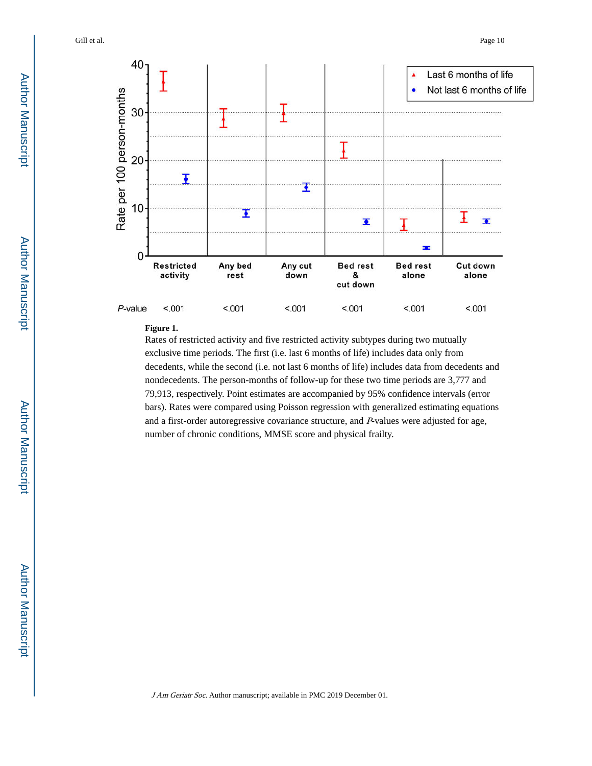

#### **Figure 1.**

Rates of restricted activity and five restricted activity subtypes during two mutually exclusive time periods. The first (i.e. last 6 months of life) includes data only from decedents, while the second (i.e. not last 6 months of life) includes data from decedents and nondecedents. The person-months of follow-up for these two time periods are 3,777 and 79,913, respectively. Point estimates are accompanied by 95% confidence intervals (error bars). Rates were compared using Poisson regression with generalized estimating equations and a first-order autoregressive covariance structure, and P-values were adjusted for age, number of chronic conditions, MMSE score and physical frailty.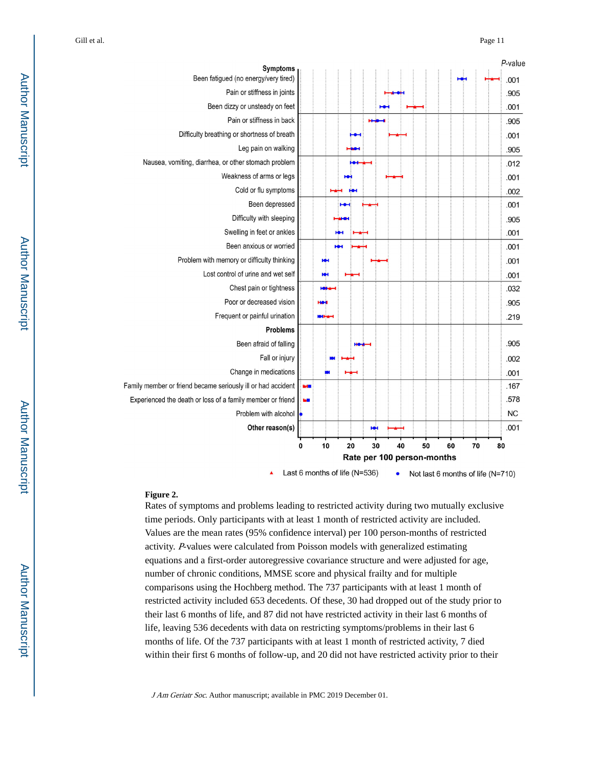|                                                              |              |                               |    |    |    |                            |    |    | P-value                           |
|--------------------------------------------------------------|--------------|-------------------------------|----|----|----|----------------------------|----|----|-----------------------------------|
| Symptoms<br>Been fatigued (no energy/very tired)             |              |                               |    |    |    |                            |    |    | .001                              |
| Pain or stiffness in joints                                  |              |                               |    |    |    |                            |    |    | .905                              |
| Been dizzy or unsteady on feet                               |              |                               |    |    |    |                            |    |    | .001                              |
| Pain or stiffness in back                                    |              |                               |    |    |    |                            |    |    | .905                              |
| Difficulty breathing or shortness of breath                  |              |                               |    |    |    |                            |    |    | .001                              |
| Leg pain on walking                                          |              |                               |    |    |    |                            |    |    | .905                              |
| Nausea, vomiting, diarrhea, or other stomach problem         |              |                               |    |    |    |                            |    |    | .012                              |
| Weakness of arms or legs                                     |              |                               |    |    |    |                            |    |    | .001                              |
| Cold or flu symptoms                                         |              |                               |    |    |    |                            |    |    | .002                              |
| Been depressed                                               |              |                               |    |    |    |                            |    |    | .001                              |
| Difficulty with sleeping                                     |              |                               |    |    |    |                            |    |    | .905                              |
| Swelling in feet or ankles                                   |              |                               |    |    |    |                            |    |    | .001                              |
| Been anxious or worried                                      |              |                               |    |    |    |                            |    |    | .001                              |
| Problem with memory or difficulty thinking                   |              |                               |    |    |    |                            |    |    | .001                              |
| Lost control of urine and wet self                           |              | Ю                             |    |    |    |                            |    |    | .001                              |
| Chest pain or tightness                                      |              |                               |    |    |    |                            |    |    | .032                              |
| Poor or decreased vision                                     |              |                               |    |    |    |                            |    |    | .905                              |
| Frequent or painful urination                                |              | MH                            |    |    |    |                            |    |    | .219                              |
| <b>Problems</b>                                              |              |                               |    |    |    |                            |    |    |                                   |
| Been afraid of falling                                       |              |                               |    |    |    |                            |    |    | .905                              |
| Fall or injury                                               |              |                               |    |    |    |                            |    |    | .002                              |
| Change in medications                                        |              |                               |    |    |    |                            |    |    | .001                              |
| Family member or friend became seriously ill or had accident | <b>Media</b> |                               |    |    |    |                            |    |    | .167                              |
| Experienced the death or loss of a family member or friend   | W.           |                               |    |    |    |                            |    |    | .578                              |
| Problem with alcohol                                         |              |                               |    |    |    |                            |    |    | <b>NC</b>                         |
| Other reason(s)                                              |              |                               |    | ю  |    |                            |    |    | .001                              |
|                                                              | 0            | 10                            | 20 | 30 | 40 | 50                         | 60 | 70 | 80                                |
|                                                              |              |                               |    |    |    | Rate per 100 person-months |    |    |                                   |
|                                                              |              | Last 6 months of life (N=536) |    |    |    |                            |    |    | Not last 6 months of life (N=710) |

#### **Figure 2.**

Rates of symptoms and problems leading to restricted activity during two mutually exclusive time periods. Only participants with at least 1 month of restricted activity are included. Values are the mean rates (95% confidence interval) per 100 person-months of restricted activity. P-values were calculated from Poisson models with generalized estimating equations and a first-order autoregressive covariance structure and were adjusted for age, number of chronic conditions, MMSE score and physical frailty and for multiple comparisons using the Hochberg method. The 737 participants with at least 1 month of restricted activity included 653 decedents. Of these, 30 had dropped out of the study prior to their last 6 months of life, and 87 did not have restricted activity in their last 6 months of life, leaving 536 decedents with data on restricting symptoms/problems in their last 6 months of life. Of the 737 participants with at least 1 month of restricted activity, 7 died within their first 6 months of follow-up, and 20 did not have restricted activity prior to their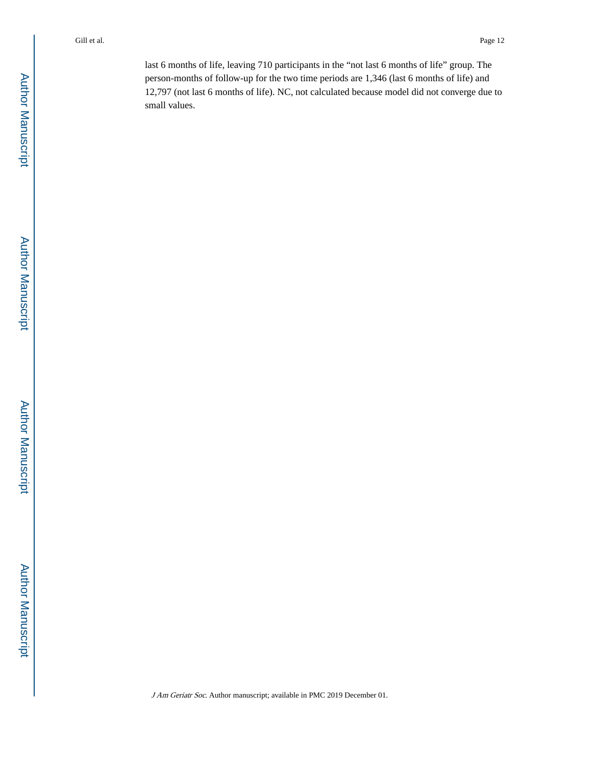last 6 months of life, leaving 710 participants in the "not last 6 months of life" group. The person-months of follow-up for the two time periods are 1,346 (last 6 months of life) and 12,797 (not last 6 months of life). NC, not calculated because model did not converge due to small values.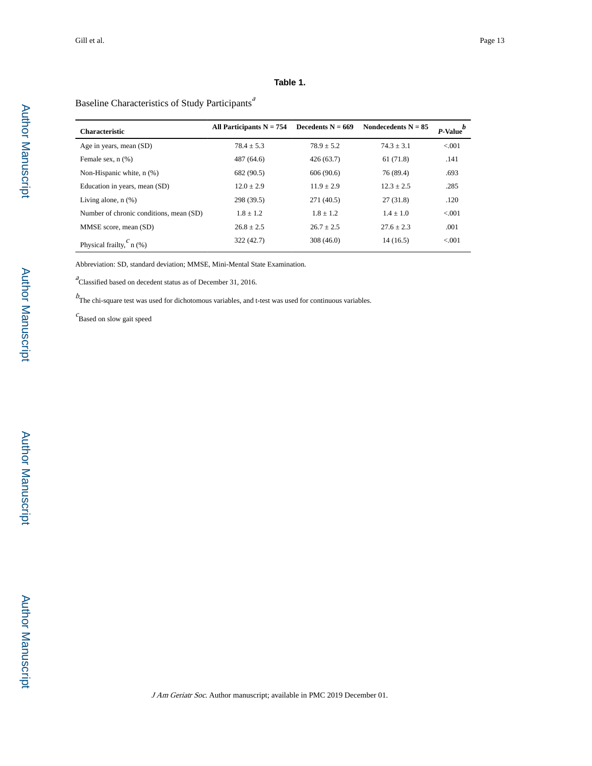#### **Table 1.**

## Baseline Characteristics of Study Participants<sup>a</sup>

| <b>Characteristic</b>                   | All Participants $N = 754$ | Decedents $N = 669$ | Nondecedents $N = 85$ | $P$ -Value $\frac{b}{c}$ |
|-----------------------------------------|----------------------------|---------------------|-----------------------|--------------------------|
| Age in years, mean (SD)                 | $78.4 + 5.3$               | $78.9 + 5.2$        | $74.3 + 3.1$          | < 0.001                  |
| Female sex, $n$ $(\%)$                  | 487 (64.6)                 | 426(63.7)           | 61(71.8)              | .141                     |
| Non-Hispanic white, n (%)               | 682 (90.5)                 | 606(90.6)           | 76 (89.4)             | .693                     |
| Education in years, mean (SD)           | $12.0 \pm 2.9$             | $11.9 + 2.9$        | $12.3 + 2.5$          | .285                     |
| Living alone, $n$ $(\%)$                | 298 (39.5)                 | 271 (40.5)          | 27(31.8)              | .120                     |
| Number of chronic conditions, mean (SD) | $1.8 + 1.2$                | $1.8 + 1.2$         | $1.4 + 1.0$           | < 0.001                  |
| MMSE score, mean (SD)                   | $26.8 + 2.5$               | $26.7 + 2.5$        | $27.6 + 2.3$          | .001                     |
| Physical frailty, $\int_a^b n(\%)$      | 322 (42.7)                 | 308(46.0)           | 14(16.5)              | < 0.01                   |

Abbreviation: SD, standard deviation; MMSE, Mini-Mental State Examination.

 $a<sup>a</sup>$ Classified based on decedent status as of December 31, 2016.

 $b_{\text{The chi-square test was used for dichotomous variables, and t-test was used for continuous variables.}$ 

 $c$ Based on slow gait speed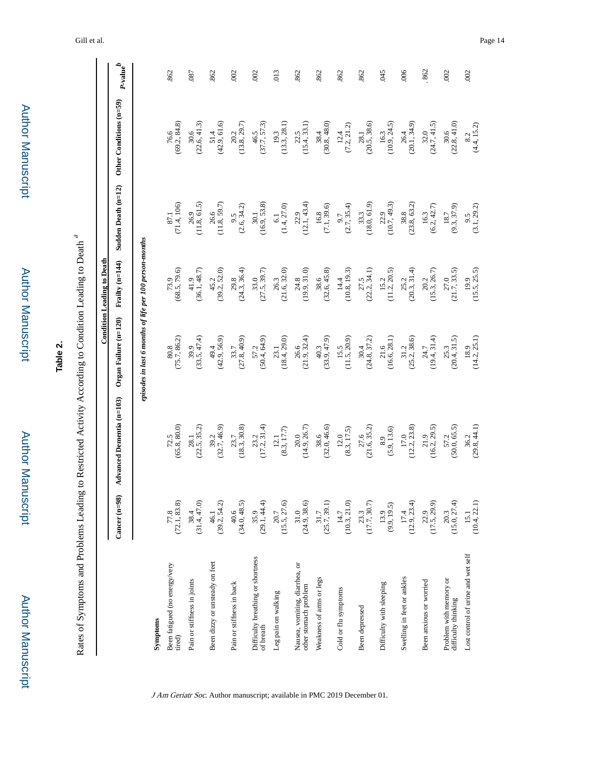| ã                  |  |
|--------------------|--|
| <u>:</u><br>:<br>: |  |
|                    |  |
|                    |  |

 Author Manuscript**Author Manuscript** 

# **Table 2.**

Rates of Symptoms and Problems Leading to Restricted Activity According to Condition Leading to Death a

|                                                         |                                                     |                                                     |                                                         | <b>Condition Leading to Death</b>                   |                                                     |                                                     |                                |
|---------------------------------------------------------|-----------------------------------------------------|-----------------------------------------------------|---------------------------------------------------------|-----------------------------------------------------|-----------------------------------------------------|-----------------------------------------------------|--------------------------------|
|                                                         | Cancer $(n=98)$                                     | Advanced Dementia (n=103)                           | Organ Failure (n=120) Frailty (n=144)                   |                                                     | Sudden Death (n=12)                                 | Other Conditions (n=59)                             | $_{P\text{-value}}^{\qquad b}$ |
|                                                         |                                                     |                                                     | episodes in last 6 months of life per 100 person-months |                                                     |                                                     |                                                     |                                |
| Symptoms                                                |                                                     |                                                     |                                                         |                                                     |                                                     |                                                     |                                |
| Been fatigued (no energy/very<br>tired)                 | $\frac{77.8}{(72.1, 83.8)}$                         | $72.5$<br>(65.8, 80.0)                              | $\begin{array}{c} 80.8 \\ (75.7, 86.2) \end{array}$     | $73.9$<br>(68.5, 79.6)                              | $87.1$<br>(71.4, 106)                               | $76.6$<br>$(69.2, 84.8)$                            | 862                            |
| Pain or stiffness in joints                             | $38.4$<br>(31.4, 47.0)                              | $28.1$<br>$(22.5, 35.2)$                            | (33.5, 47.4)                                            | $41.9$<br>(36.1, 48.7)                              | $\begin{array}{c} 26.9 \\ (11.8, 61.5) \end{array}$ | $30.6$<br>$(22.6, 41.3)$                            | .087                           |
| Been dizzy or unsteady on feet                          | $\begin{array}{c} 46.1 \\ (39.2, 54.2) \end{array}$ | $39.2$<br>$(32.7, 46.9)$                            | $49.4$<br>$(42.9, 56.9)$                                | $45.2$<br>(39.2, 52.0)                              | $\begin{array}{c} 26.6 \\ (11.8, 59.7) \end{array}$ | $51.4$<br>(42.9, 61.6)                              | 862                            |
| Pain or stiffness in back                               | $40.6$<br>(34.0, 48.5)                              | $\begin{array}{c} 23.7 \\ (18.3, 30.8) \end{array}$ | $33.7$<br>(27.8, 40.9)                                  | $29.8$<br>(24.3, 36.4)                              | $\begin{array}{c} 9.5 \\ (2.6, 34.2) \end{array}$   | $20.2$<br>(13.8, 29.7)                              | 002                            |
| Difficulty breathing or shortness<br>of breath          | $35.9$<br>(29.1, 44.4)                              | (17.2, 31.4)                                        | $57.2$<br>$(50.4, 64.9)$                                | (27.5, 39.7)                                        | $\begin{array}{c} 30.1 \\ (16.9, 53.8) \end{array}$ | $46.5$<br>(37.7, 57.3)                              | 002                            |
| Leg pain on walking                                     | $20.7$<br>(15.5, 27.6)                              | $\begin{array}{c} 12.1 \\ 8.3, 17.7 \end{array}$    | $\begin{array}{c} 23.1 \\ (18.4, 29.0) \end{array}$     | $26.3$<br>(21.6, 32.0)                              | $6.1$<br>(1.4, 27.0)                                | $19.3$<br>(13.3, 28.1)                              | 013                            |
| Nausea, vomiting, diarrhea, or<br>other stomach problem | $\begin{array}{c} 31.0 \\ (24.9, 38.6) \end{array}$ | $20.0$<br>(14.9, 26.7)                              | $\begin{array}{c} 26.6 \\ (21.9, 32.4) \end{array}$     | $24.8$<br>(19.9, 31.0)                              | $22.9$<br>(12.1, 43.4)                              | $\begin{array}{c} 22.5 \\ (15.4, 33.1) \end{array}$ | 862                            |
| Weakness of arms or legs                                | $\frac{31.7}{(25.7, 39.1)}$                         | $38.6$<br>$(32.0, 46.6)$                            | $40.3$<br>(33.9, 47.9)                                  | $38.6$<br>(32.6, 45.8)                              | $\frac{16.8}{(7.1, 39.6)}$                          | $38.4$<br>(30.8, 48.0)                              | 862                            |
| Cold or flu symptoms                                    | $14.7$<br>(10.3, 21.0)                              | $\frac{12.0}{(8.3, 17.5)}$                          | $\begin{array}{c} 15.5 \\ (11.5, 20.9) \end{array}$     | $14.4$<br>(10.8, 19.3)                              | $\begin{array}{c} 9.7 \\ (2.7, 35.4) \end{array}$   | (7.2, 21.2)                                         | .862                           |
| Been depressed                                          | $\begin{array}{c} 23.3 \\ (17.7, 30.7) \end{array}$ | $27.6$<br>(21.6, 35.2)                              | $30.4$<br>(24.8, 37.2)                                  | (22.2, 34.1)                                        | $\begin{array}{c} 33.3 \\ (18.0, 61.9) \end{array}$ | $\begin{array}{c} 28.1 \\ (20.5, 38.6) \end{array}$ | 862                            |
| Difficulty with sleeping                                | $13.9$<br>(9.9, 19.5)                               | $\begin{array}{c} 8.9 \\ (5.9, 13.6) \end{array}$   | $\begin{array}{c} 21.6 \\ (16.6, 28.1) \end{array}$     | $\begin{array}{c} 15.2 \\ (11.2, 20.5) \end{array}$ | $22.9$<br>(10.7, 49.3)                              | $16.3$<br>(10.9, 24.5)                              | 045                            |
| Swelling in feet or ankles                              | $\frac{17.4}{(12.9, 23.4)}$                         | $17.0$<br>(12.2, 23.8)                              | $\begin{array}{c} 31.2 \\ (25.2, 38.6) \end{array}$     | (20.3, 31.4)                                        | $38.8$<br>(23.8, 63.2)                              | $26.4$<br>(20.1, 34.9)                              | .006                           |
| Been anxious or worried                                 | $\frac{22.9}{(17.5, 29.9)}$                         | $\begin{array}{c} 21.9 \\ (16.2, 29.5) \end{array}$ | $24.7$<br>(19.4, 31.4)                                  | $\begin{array}{c} 20.2 \\ (15.3, 26.7) \end{array}$ | $16.3$<br>$(6.2, 42.7)$                             | (24.7, 41.5)                                        | 862                            |
| Problem with memory or<br>difficulty thinking           | $\begin{array}{c} 20.3 \\ (15.0, 27.4) \end{array}$ | $57.2$<br>$(50.0, 65.5)$                            | $25.3$<br>(20.4, 31.5)                                  | $27.0$<br>$(21.7, 33.5)$                            | $\frac{18.7}{(9.3, 37.9)}$                          | $\begin{array}{c} 30.6 \\ (22.8, 41.0) \end{array}$ | .002                           |
| Lost control of urine and wet self                      | $15.1$<br>(10.4, 22.1)                              | $\begin{array}{c} 36.2 \\ (29.8, 44.1) \end{array}$ | $\frac{18.9}{(14.2, 25.1)}$                             | $19.9$<br>(15.5, 25.5)                              | $\begin{array}{c} 9.5 \\ (3.1, 29.2) \end{array}$   | $\begin{array}{c} 8.2 \\ (4.4, 15.2) \end{array}$   | .002                           |